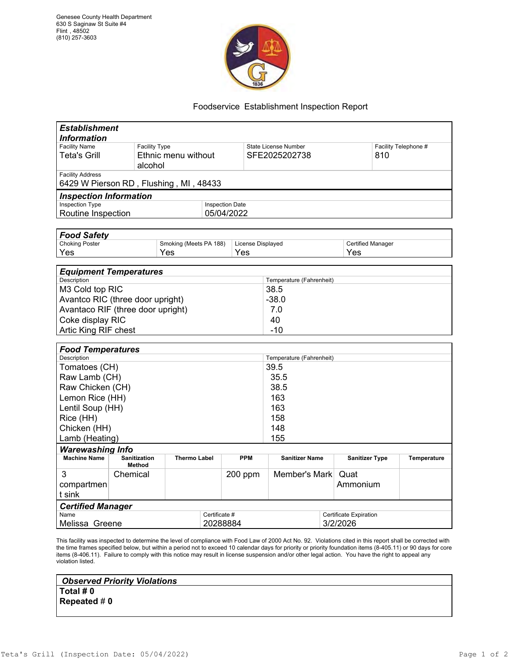

## Foodservice Establishment Inspection Report

| <b>Information</b><br><b>Facility Name</b><br><b>Facility Type</b><br>Facility Telephone #<br><b>State License Number</b><br>Ethnic menu without<br>SFE2025202738<br><b>Teta's Grill</b><br>810<br>alcohol<br><b>Facility Address</b><br>6429 W Pierson RD, Flushing, MI, 48433<br><b>Inspection Information</b><br><b>Inspection Type</b><br><b>Inspection Date</b><br>Routine Inspection<br>05/04/2022<br><b>Food Safety</b><br><b>Choking Poster</b><br>Smoking (Meets PA 188)<br>License Displayed<br><b>Certified Manager</b><br>Yes<br>Yes<br>Yes<br>Yes<br><b>Equipment Temperatures</b><br>Description<br>Temperature (Fahrenheit)<br>M3 Cold top RIC<br>38.5<br>Avantco RIC (three door upright)<br>$-38.0$<br>Avantaco RIF (three door upright)<br>7.0<br>Coke display RIC<br>40<br>$-10$<br>Artic King RIF chest<br><b>Food Temperatures</b><br>Description<br>Temperature (Fahrenheit)<br>39.5<br>Tomatoes (CH)<br>Raw Lamb (CH)<br>35.5<br>Raw Chicken (CH)<br>38.5<br>Lemon Rice (HH)<br>163<br>Lentil Soup (HH)<br>163<br>Rice (HH)<br>158<br>Chicken (HH)<br>148<br>Lamb (Heating)<br>155<br><b>Warewashing Info</b><br><b>Machine Name</b><br><b>Sanitization</b><br><b>Thermo Label</b><br><b>PPM</b><br><b>Sanitizer Name</b><br><b>Sanitizer Type</b><br><b>Temperature</b><br><b>Method</b><br>3<br>Member's Mark Quat<br>Chemical<br>200 ppm<br>Ammonium<br>compartmen<br>t sink<br><b>Certified Manager</b><br>Name<br>Certificate #<br>Certificate Expiration<br>3/2/2026<br>20288884<br>Melissa Greene | <b>Establishment</b> |  |  |  |  |  |  |  |
|---------------------------------------------------------------------------------------------------------------------------------------------------------------------------------------------------------------------------------------------------------------------------------------------------------------------------------------------------------------------------------------------------------------------------------------------------------------------------------------------------------------------------------------------------------------------------------------------------------------------------------------------------------------------------------------------------------------------------------------------------------------------------------------------------------------------------------------------------------------------------------------------------------------------------------------------------------------------------------------------------------------------------------------------------------------------------------------------------------------------------------------------------------------------------------------------------------------------------------------------------------------------------------------------------------------------------------------------------------------------------------------------------------------------------------------------------------------------------------------------------------------------------------|----------------------|--|--|--|--|--|--|--|
|                                                                                                                                                                                                                                                                                                                                                                                                                                                                                                                                                                                                                                                                                                                                                                                                                                                                                                                                                                                                                                                                                                                                                                                                                                                                                                                                                                                                                                                                                                                                 |                      |  |  |  |  |  |  |  |
|                                                                                                                                                                                                                                                                                                                                                                                                                                                                                                                                                                                                                                                                                                                                                                                                                                                                                                                                                                                                                                                                                                                                                                                                                                                                                                                                                                                                                                                                                                                                 |                      |  |  |  |  |  |  |  |
|                                                                                                                                                                                                                                                                                                                                                                                                                                                                                                                                                                                                                                                                                                                                                                                                                                                                                                                                                                                                                                                                                                                                                                                                                                                                                                                                                                                                                                                                                                                                 |                      |  |  |  |  |  |  |  |
|                                                                                                                                                                                                                                                                                                                                                                                                                                                                                                                                                                                                                                                                                                                                                                                                                                                                                                                                                                                                                                                                                                                                                                                                                                                                                                                                                                                                                                                                                                                                 |                      |  |  |  |  |  |  |  |
|                                                                                                                                                                                                                                                                                                                                                                                                                                                                                                                                                                                                                                                                                                                                                                                                                                                                                                                                                                                                                                                                                                                                                                                                                                                                                                                                                                                                                                                                                                                                 |                      |  |  |  |  |  |  |  |
|                                                                                                                                                                                                                                                                                                                                                                                                                                                                                                                                                                                                                                                                                                                                                                                                                                                                                                                                                                                                                                                                                                                                                                                                                                                                                                                                                                                                                                                                                                                                 |                      |  |  |  |  |  |  |  |
|                                                                                                                                                                                                                                                                                                                                                                                                                                                                                                                                                                                                                                                                                                                                                                                                                                                                                                                                                                                                                                                                                                                                                                                                                                                                                                                                                                                                                                                                                                                                 |                      |  |  |  |  |  |  |  |
|                                                                                                                                                                                                                                                                                                                                                                                                                                                                                                                                                                                                                                                                                                                                                                                                                                                                                                                                                                                                                                                                                                                                                                                                                                                                                                                                                                                                                                                                                                                                 |                      |  |  |  |  |  |  |  |
|                                                                                                                                                                                                                                                                                                                                                                                                                                                                                                                                                                                                                                                                                                                                                                                                                                                                                                                                                                                                                                                                                                                                                                                                                                                                                                                                                                                                                                                                                                                                 |                      |  |  |  |  |  |  |  |
|                                                                                                                                                                                                                                                                                                                                                                                                                                                                                                                                                                                                                                                                                                                                                                                                                                                                                                                                                                                                                                                                                                                                                                                                                                                                                                                                                                                                                                                                                                                                 |                      |  |  |  |  |  |  |  |
|                                                                                                                                                                                                                                                                                                                                                                                                                                                                                                                                                                                                                                                                                                                                                                                                                                                                                                                                                                                                                                                                                                                                                                                                                                                                                                                                                                                                                                                                                                                                 |                      |  |  |  |  |  |  |  |
|                                                                                                                                                                                                                                                                                                                                                                                                                                                                                                                                                                                                                                                                                                                                                                                                                                                                                                                                                                                                                                                                                                                                                                                                                                                                                                                                                                                                                                                                                                                                 |                      |  |  |  |  |  |  |  |
|                                                                                                                                                                                                                                                                                                                                                                                                                                                                                                                                                                                                                                                                                                                                                                                                                                                                                                                                                                                                                                                                                                                                                                                                                                                                                                                                                                                                                                                                                                                                 |                      |  |  |  |  |  |  |  |
|                                                                                                                                                                                                                                                                                                                                                                                                                                                                                                                                                                                                                                                                                                                                                                                                                                                                                                                                                                                                                                                                                                                                                                                                                                                                                                                                                                                                                                                                                                                                 |                      |  |  |  |  |  |  |  |
|                                                                                                                                                                                                                                                                                                                                                                                                                                                                                                                                                                                                                                                                                                                                                                                                                                                                                                                                                                                                                                                                                                                                                                                                                                                                                                                                                                                                                                                                                                                                 |                      |  |  |  |  |  |  |  |
|                                                                                                                                                                                                                                                                                                                                                                                                                                                                                                                                                                                                                                                                                                                                                                                                                                                                                                                                                                                                                                                                                                                                                                                                                                                                                                                                                                                                                                                                                                                                 |                      |  |  |  |  |  |  |  |
|                                                                                                                                                                                                                                                                                                                                                                                                                                                                                                                                                                                                                                                                                                                                                                                                                                                                                                                                                                                                                                                                                                                                                                                                                                                                                                                                                                                                                                                                                                                                 |                      |  |  |  |  |  |  |  |
|                                                                                                                                                                                                                                                                                                                                                                                                                                                                                                                                                                                                                                                                                                                                                                                                                                                                                                                                                                                                                                                                                                                                                                                                                                                                                                                                                                                                                                                                                                                                 |                      |  |  |  |  |  |  |  |
|                                                                                                                                                                                                                                                                                                                                                                                                                                                                                                                                                                                                                                                                                                                                                                                                                                                                                                                                                                                                                                                                                                                                                                                                                                                                                                                                                                                                                                                                                                                                 |                      |  |  |  |  |  |  |  |
|                                                                                                                                                                                                                                                                                                                                                                                                                                                                                                                                                                                                                                                                                                                                                                                                                                                                                                                                                                                                                                                                                                                                                                                                                                                                                                                                                                                                                                                                                                                                 |                      |  |  |  |  |  |  |  |
|                                                                                                                                                                                                                                                                                                                                                                                                                                                                                                                                                                                                                                                                                                                                                                                                                                                                                                                                                                                                                                                                                                                                                                                                                                                                                                                                                                                                                                                                                                                                 |                      |  |  |  |  |  |  |  |
|                                                                                                                                                                                                                                                                                                                                                                                                                                                                                                                                                                                                                                                                                                                                                                                                                                                                                                                                                                                                                                                                                                                                                                                                                                                                                                                                                                                                                                                                                                                                 |                      |  |  |  |  |  |  |  |
|                                                                                                                                                                                                                                                                                                                                                                                                                                                                                                                                                                                                                                                                                                                                                                                                                                                                                                                                                                                                                                                                                                                                                                                                                                                                                                                                                                                                                                                                                                                                 |                      |  |  |  |  |  |  |  |
|                                                                                                                                                                                                                                                                                                                                                                                                                                                                                                                                                                                                                                                                                                                                                                                                                                                                                                                                                                                                                                                                                                                                                                                                                                                                                                                                                                                                                                                                                                                                 |                      |  |  |  |  |  |  |  |
|                                                                                                                                                                                                                                                                                                                                                                                                                                                                                                                                                                                                                                                                                                                                                                                                                                                                                                                                                                                                                                                                                                                                                                                                                                                                                                                                                                                                                                                                                                                                 |                      |  |  |  |  |  |  |  |
|                                                                                                                                                                                                                                                                                                                                                                                                                                                                                                                                                                                                                                                                                                                                                                                                                                                                                                                                                                                                                                                                                                                                                                                                                                                                                                                                                                                                                                                                                                                                 |                      |  |  |  |  |  |  |  |
|                                                                                                                                                                                                                                                                                                                                                                                                                                                                                                                                                                                                                                                                                                                                                                                                                                                                                                                                                                                                                                                                                                                                                                                                                                                                                                                                                                                                                                                                                                                                 |                      |  |  |  |  |  |  |  |
|                                                                                                                                                                                                                                                                                                                                                                                                                                                                                                                                                                                                                                                                                                                                                                                                                                                                                                                                                                                                                                                                                                                                                                                                                                                                                                                                                                                                                                                                                                                                 |                      |  |  |  |  |  |  |  |
|                                                                                                                                                                                                                                                                                                                                                                                                                                                                                                                                                                                                                                                                                                                                                                                                                                                                                                                                                                                                                                                                                                                                                                                                                                                                                                                                                                                                                                                                                                                                 |                      |  |  |  |  |  |  |  |
|                                                                                                                                                                                                                                                                                                                                                                                                                                                                                                                                                                                                                                                                                                                                                                                                                                                                                                                                                                                                                                                                                                                                                                                                                                                                                                                                                                                                                                                                                                                                 |                      |  |  |  |  |  |  |  |
|                                                                                                                                                                                                                                                                                                                                                                                                                                                                                                                                                                                                                                                                                                                                                                                                                                                                                                                                                                                                                                                                                                                                                                                                                                                                                                                                                                                                                                                                                                                                 |                      |  |  |  |  |  |  |  |
|                                                                                                                                                                                                                                                                                                                                                                                                                                                                                                                                                                                                                                                                                                                                                                                                                                                                                                                                                                                                                                                                                                                                                                                                                                                                                                                                                                                                                                                                                                                                 |                      |  |  |  |  |  |  |  |
|                                                                                                                                                                                                                                                                                                                                                                                                                                                                                                                                                                                                                                                                                                                                                                                                                                                                                                                                                                                                                                                                                                                                                                                                                                                                                                                                                                                                                                                                                                                                 |                      |  |  |  |  |  |  |  |
|                                                                                                                                                                                                                                                                                                                                                                                                                                                                                                                                                                                                                                                                                                                                                                                                                                                                                                                                                                                                                                                                                                                                                                                                                                                                                                                                                                                                                                                                                                                                 |                      |  |  |  |  |  |  |  |
|                                                                                                                                                                                                                                                                                                                                                                                                                                                                                                                                                                                                                                                                                                                                                                                                                                                                                                                                                                                                                                                                                                                                                                                                                                                                                                                                                                                                                                                                                                                                 |                      |  |  |  |  |  |  |  |
|                                                                                                                                                                                                                                                                                                                                                                                                                                                                                                                                                                                                                                                                                                                                                                                                                                                                                                                                                                                                                                                                                                                                                                                                                                                                                                                                                                                                                                                                                                                                 |                      |  |  |  |  |  |  |  |
|                                                                                                                                                                                                                                                                                                                                                                                                                                                                                                                                                                                                                                                                                                                                                                                                                                                                                                                                                                                                                                                                                                                                                                                                                                                                                                                                                                                                                                                                                                                                 |                      |  |  |  |  |  |  |  |

This facility was inspected to determine the level of compliance with Food Law of 2000 Act No. 92. Violations cited in this report shall be corrected with the time frames specified below, but within a period not to exceed 10 calendar days for priority or priority foundation items (8-405.11) or 90 days for core items (8-406.11). Failure to comply with this notice may result in license suspension and/or other legal action. You have the right to appeal any violation listed.

*Observed Priority Violations* **Total # 0 Repeated** # **0**